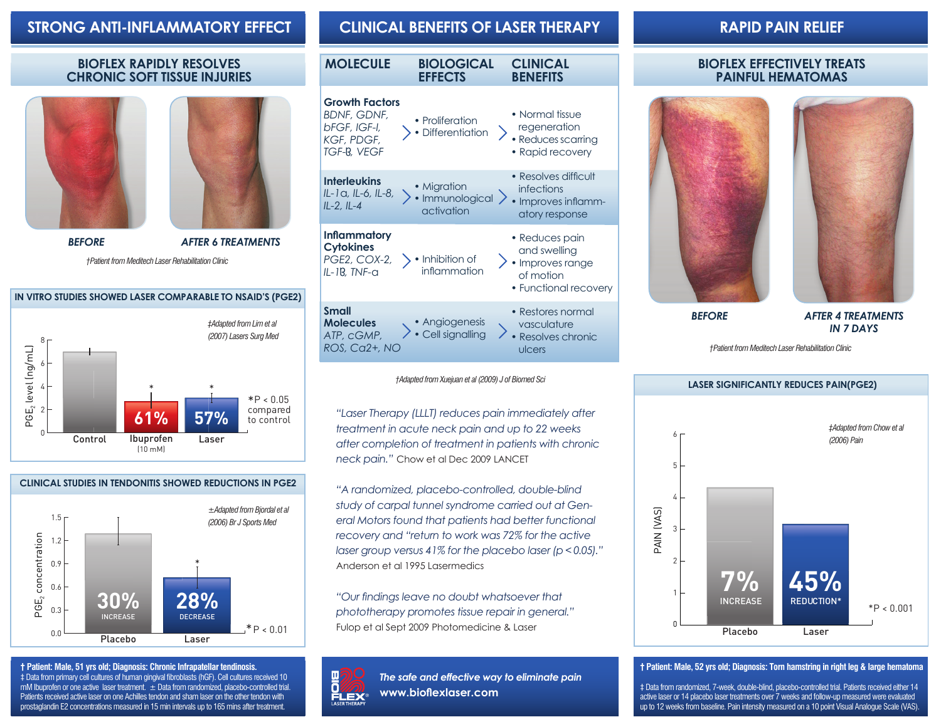# **STRONG ANTI-INFLAMMATORY EFFECT CLINICAL BENEFITS OF LASER THERAPY RAPID PAIN RELIEF**

### **BIOFLEX RAPIDLY RESOLVES CHRONIC SOFT TISSUE INJURIES**





*BEFORE*

*AFTER 6 TREATMENTS*

*†Patient from Meditech Laser Rehabilitation Clinic*

#### **IN VITRO STUDIES SHOWED LASER COMPARABLE TO NSAID'S (PGE2)**



### **CLINICAL STUDIES IN TENDONITIS SHOWED REDUCTIONS IN PGE2**



**† Patient: Male, 51 yrs old; Diagnosis: Chronic Infrapatellar tendinosis.** ‡ Data from primary cell cultures of human gingival fibroblasts (hGF). Cell cultures received 10 mM Ibuprofen or one active laser treatment. ± Data from randomized, placebo-controlled trial. Patients received active laser on one Achilles tendon and sham laser on the other tendon with prostaglandin E2 concentrations measured in 15 min intervals up to 165 mins after treatment.

| <b>MOLECULE</b> | <b>BIOLOGICAL</b><br><b>EFFECTS</b> | <b>CLINICAL</b><br><b>BENEFITS</b> |
|-----------------|-------------------------------------|------------------------------------|
|                 |                                     |                                    |

## **Growth Factors**



*†Adapted from Xuejuan et al (2009) J of Biomed Sci*

"Laser Therapy (LLLT) reduces pain immediately after *treatment in acute neck pain and up to 22 weeks after completion of treatment in patients with chronic neck pain."* Chow et al Dec 2009 LANCET

*"A randomized, placebo-controlled, double-blind study of carpal tunnel syndrome carried out at General Motors found that patients had better functional recovery and "return to work was 72% for the active laser group versus 41% for the placebo laser (p < 0.05)."*  Anderson et al 1995 Lasermedics

*"Our findings leave no doubt whatsoever that phototherapy promotes tissue repair in general."*  Fulop et al Sept 2009 Photomedicine & Laser



*The safe and effective way to eliminate pain* **www.bioflexlaser.com**

### **BIOFLEX EFFECTIVELY TREATS PAINFUL HEMATOMAS**





*AFTER 4 TREATMENTS IN 7 DAYS*

*†Patient from Meditech Laser Rehabilitation Clinic*



#### **† Patient: Male, 52 yrs old; Diagnosis: Torn hamstring in right leg & large hematoma**

‡ Data from randomized, 7-week, double-blind, placebo-controlled trial. Patients received either 14 active laser or 14 placebo laser treatments over 7 weeks and follow-up measured were evaluated up to 12 weeks from baseline. Pain intensity measured on a 10 point Visual Analogue Scale (VAS).